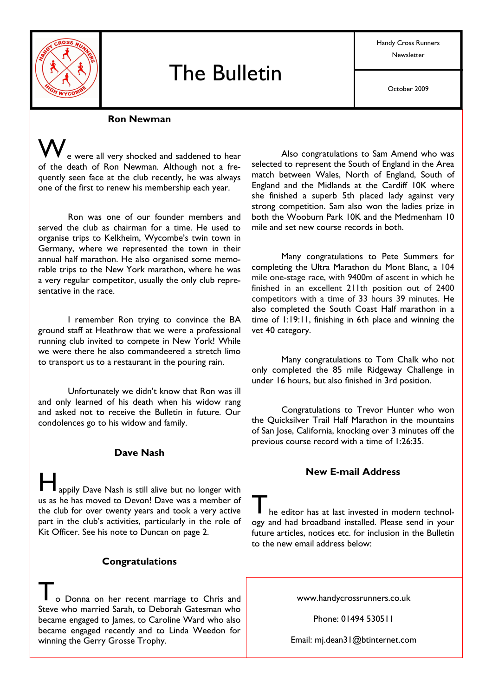

# **The Bulletin**

Handy Cross Runners Newsletter

October 2009

#### **Ron Newman**

e were all very shocked and saddened to hear of the death of Ron Newman. Although not a frequently seen face at the club recently, he was always one of the first to renew his membership each year.

Ron was one of our founder members and served the club as chairman for a time. He used to organise trips to Kelkheim, Wycombe's twin town in Germany, where we represented the town in their annual half marathon. He also organised some memorable trips to the New York marathon, where he was a very regular competitor, usually the only club representative in the race.

I remember Ron trying to convince the BA ground staff at Heathrow that we were a professional running club invited to compete in New York! While we were there he also commandeered a stretch limo to transport us to a restaurant in the pouring rain.

Unfortunately we didn't know that Ron was ill and only learned of his death when his widow rang and asked not to receive the Bulletin in future. Our condolences go to his widow and family.

#### Dave Nash

appily Dave Nash is still alive but no longer with us as he has moved to Devon! Dave was a member of the club for over twenty years and took a very active part in the club's activities, particularly in the role of Kit Officer. See his note to Duncan on page 2.

#### **Congratulations**

o Donna on her recent marriage to Chris and Steve who married Sarah, to Deborah Gatesman who became engaged to James, to Caroline Ward who also became engaged recently and to Linda Weedon for winning the Gerry Grosse Trophy.

Also congratulations to Sam Amend who was selected to represent the South of England in the Area match between Wales, North of England, South of England and the Midlands at the Cardiff 10K where she finished a superb 5th placed lady against very strong competition. Sam also won the ladies prize in both the Wooburn Park 10K and the Medmenham 10 mile and set new course records in both.

Many congratulations to Pete Summers for completing the Ultra Marathon du Mont Blanc, a 104 mile one-stage race, with 9400m of ascent in which he finished in an excellent 211th position out of 2400 competitors with a time of 33 hours 39 minutes. He also completed the South Coast Half marathon in a time of 1:19:11, finishing in 6th place and winning the vet 40 category.

Many congratulations to Tom Chalk who not only completed the 85 mile Ridgeway Challenge in under 16 hours, but also finished in 3rd position.

Congratulations to Trevor Hunter who won the Quicksilver Trail Half Marathon in the mountains of San Jose, California, knocking over 3 minutes off the previous course record with a time of 1:26:35.

#### **New E-mail Address**

he editor has at last invested in modern technology and had broadband installed. Please send in your future articles, notices etc. for inclusion in the Bulletin to the new email address below:

www.handycrossrunners.co.uk

Phone: 01494 530511

Email: mj.dean31@btinternet.com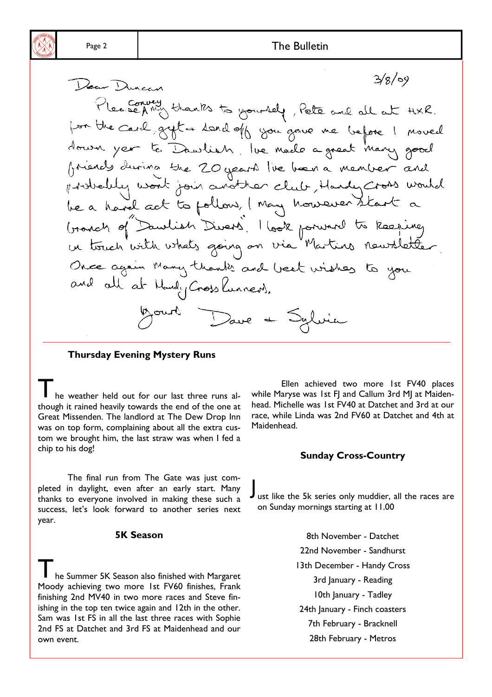$3/8/09$ Dear Duncan Please AMy thanks to yourself, Pete and all at HXR. por the card gyst a sand off you gave me before I moved down year to Dawlish, lue made a great many good friends during the 20 years live boen a member and probabily wont join another club, Handy Cross would be a havel act to pollow, I may however start a Granch of Dawlish Divers, I look forward to keeping un touch with whats going on via Martins newsletter. Once again Many thanks and best wishes to you and all at Handy Cross Purners. Mourt Dave + Sylvier

**Thursday Evening Mystery Runs** 

he weather held out for our last three runs although it rained heavily towards the end of the one at Great Missenden. The landlord at The Dew Drop Inn was on top form, complaining about all the extra custom we brought him, the last straw was when I fed a chip to his dog!

The final run from The Gate was just completed in daylight, even after an early start. Many thanks to everyone involved in making these such a success, let's look forward to another series next year.

#### **5K Season**

he Summer 5K Season also finished with Margaret Moody achieving two more 1st FV60 finishes, Frank finishing 2nd MV40 in two more races and Steve finishing in the top ten twice again and 12th in the other. Sam was 1st FS in all the last three races with Sophie 2nd FS at Datchet and 3rd FS at Maidenhead and our own event.

Ellen achieved two more 1st FV40 places while Maryse was 1st FI and Callum 3rd MI at Maidenhead. Michelle was 1st FV40 at Datchet and 3rd at our race, while Linda was 2nd FV60 at Datchet and 4th at Maidenhead.

#### **Sunday Cross-Country**

Just like the 5k series only muddier, all the races are on Sunday mornings starting at 11.00

> 8th November - Datchet 22nd November - Sandhurst 13th December - Handy Cross 3rd January - Reading 10th January - Tadley 24th January - Finch coasters 7th February - Bracknell 28th February - Metros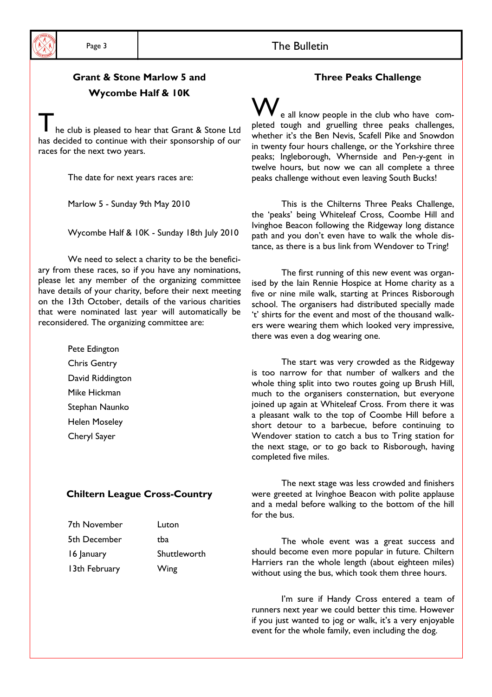

# **Grant & Stone Marlow 5 and** Wycombe Half & IOK

he club is pleased to hear that Grant & Stone Ltd has decided to continue with their sponsorship of our races for the next two years.

The date for next years races are:

Marlow 5 - Sunday 9th May 2010

Wycombe Half & IOK - Sunday 18th July 2010

We need to select a charity to be the beneficiary from these races, so if you have any nominations, please let any member of the organizing committee have details of your charity, before their next meeting on the 13th October, details of the various charities that were nominated last year will automatically be reconsidered. The organizing committee are:

> Pete Edington **Chris Gentry** David Riddington Mike Hickman Stephan Naunko **Helen Moseley** Cheryl Sayer

#### **Chiltern League Cross-Country**

| 7th November  | Luton        |
|---------------|--------------|
| 5th December  | tba          |
| 16 January    | Shuttleworth |
| 13th February | Wing         |

# **Three Peaks Challenge**

e all know people in the club who have completed tough and gruelling three peaks challenges, whether it's the Ben Nevis, Scafell Pike and Snowdon in twenty four hours challenge, or the Yorkshire three peaks; Ingleborough, Whernside and Pen-y-gent in twelve hours, but now we can all complete a three peaks challenge without even leaving South Bucks!

This is the Chilterns Three Peaks Challenge, the 'peaks' being Whiteleaf Cross, Coombe Hill and Ivinghoe Beacon following the Ridgeway long distance path and you don't even have to walk the whole distance, as there is a bus link from Wendover to Tring!

The first running of this new event was organised by the lain Rennie Hospice at Home charity as a five or nine mile walk, starting at Princes Risborough school. The organisers had distributed specially made 't' shirts for the event and most of the thousand walkers were wearing them which looked very impressive, there was even a dog wearing one.

The start was very crowded as the Ridgeway is too narrow for that number of walkers and the whole thing split into two routes going up Brush Hill, much to the organisers consternation, but everyone joined up again at Whiteleaf Cross. From there it was a pleasant walk to the top of Coombe Hill before a short detour to a barbecue, before continuing to Wendover station to catch a bus to Tring station for the next stage, or to go back to Risborough, having completed five miles.

The next stage was less crowded and finishers were greeted at Ivinghoe Beacon with polite applause and a medal before walking to the bottom of the hill for the bus.

The whole event was a great success and should become even more popular in future. Chiltern Harriers ran the whole length (about eighteen miles) without using the bus, which took them three hours.

I'm sure if Handy Cross entered a team of runners next year we could better this time. However if you just wanted to jog or walk, it's a very enjoyable event for the whole family, even including the dog.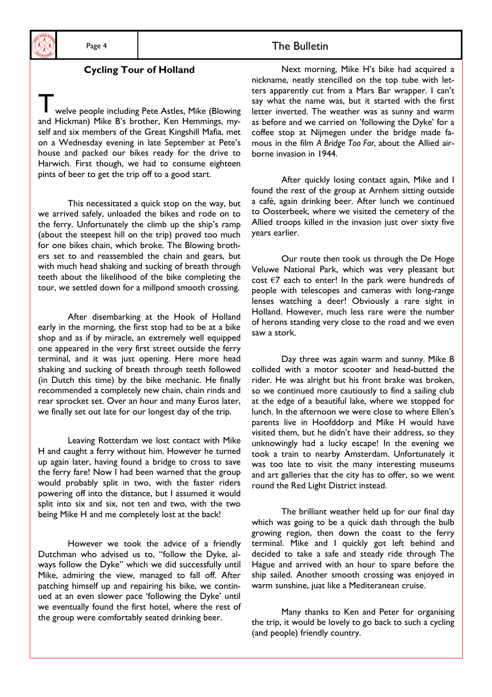### **Cycling Tour of Holland**

welve people including Pete Astles, Mike (Blowing and Hickman) Mike B's brother, Ken Hemmings, myself and six members of the Great Kingshill Mafia, met on a Wednesday evening in late September at Pete's house and packed our bikes ready for the drive to Harwich. First though, we had to consume eighteen pints of beer to get the trip off to a good start.

This necessitated a quick stop on the way, but we arrived safely, unloaded the bikes and rode on to the ferry. Unfortunately the climb up the ship's ramp (about the steepest hill on the trip) proved too much for one bikes chain, which broke. The Blowing brothers set to and reassembled the chain and gears, but with much head shaking and sucking of breath through teeth about the likelihood of the bike completing the tour, we settled down for a millpond smooth crossing.

After disembarking at the Hook of Holland early in the morning, the first stop had to be at a bike shop and as if by miracle, an extremely well equipped one appeared in the very first street outside the ferry terminal, and it was just opening. Here more head shaking and sucking of breath through teeth followed (in Dutch this time) by the bike mechanic. He finally recommended a completely new chain, chain rinds and rear sprocket set. Over an hour and many Euros later, we finally set out late for our longest day of the trip.

Leaving Rotterdam we lost contact with Mike H and caught a ferry without him. However he turned up again later, having found a bridge to cross to save the ferry fare! Now I had been warned that the group would probably split in two, with the faster riders powering off into the distance, but I assumed it would split into six and six, not ten and two, with the two being Mike H and me completely lost at the back!

However we took the advice of a friendly Dutchman who advised us to, "follow the Dyke, always follow the Dyke" which we did successfully until Mike, admiring the view, managed to fall off. After patching himself up and repairing his bike, we continued at an even slower pace 'following the Dyke' until we eventually found the first hotel, where the rest of the group were comfortably seated drinking beer.

Next morning, Mike H's bike had acquired a nickname, neatly stencilled on the top tube with letters apparently cut from a Mars Bar wrapper. I can't say what the name was, but it started with the first letter inverted. The weather was as sunny and warm as before and we carried on 'following the Dyke' for a coffee stop at Nijmegen under the bridge made famous in the film A Bridge Too Far, about the Allied airborne invasion in 1944.

After quickly losing contact again, Mike and I found the rest of the group at Arnhem sitting outside a café, again drinking beer. After lunch we continued to Oosterbeek, where we visited the cemetery of the Allied troops killed in the invasion just over sixty five vears earlier.

Our route then took us through the De Hoge Veluwe National Park, which was very pleasant but cost  $\epsilon$ 7 each to enter! In the park were hundreds of people with telescopes and cameras with long-range lenses watching a deer! Obviously a rare sight in Holland. However, much less rare were the number of herons standing very close to the road and we even saw a stork.

Day three was again warm and sunny. Mike B collided with a motor scooter and head-butted the rider. He was alright but his front brake was broken, so we continued more cautiously to find a sailing club at the edge of a beautiful lake, where we stopped for lunch. In the afternoon we were close to where Ellen's parents live in Hoofddorp and Mike H would have visited them, but he didn't have their address, so they unknowingly had a lucky escape! In the evening we took a train to nearby Amsterdam. Unfortunately it was too late to visit the many interesting museums and art galleries that the city has to offer, so we went round the Red Light District instead.

The brilliant weather held up for our final day which was going to be a quick dash through the bulb growing region, then down the coast to the ferry terminal. Mike and I quickly got left behind and decided to take a safe and steady ride through The Hague and arrived with an hour to spare before the ship sailed. Another smooth crossing was enjoyed in warm sunshine, juat like a Mediteranean cruise.

Many thanks to Ken and Peter for organising the trip, it would be lovely to go back to such a cycling (and people) friendly country.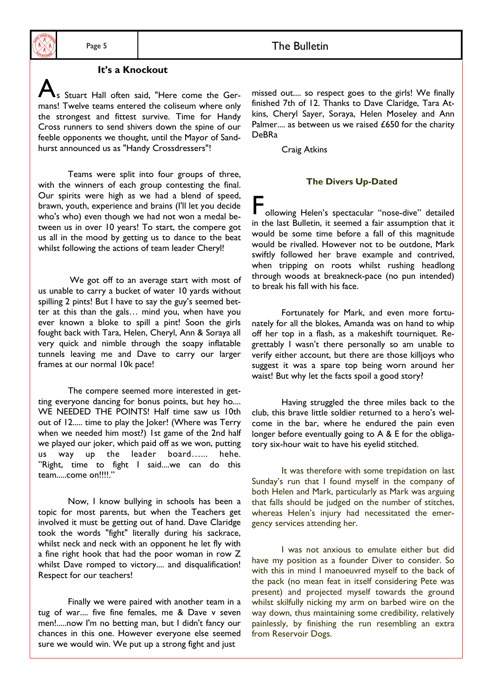# It's a Knockout

s Stuart Hall often said, "Here come the Germans! Twelve teams entered the coliseum where only the strongest and fittest survive. Time for Handy Cross runners to send shivers down the spine of our feeble opponents we thought, until the Mayor of Sandhurst announced us as "Handy Crossdressers"!

Teams were split into four groups of three, with the winners of each group contesting the final. Our spirits were high as we had a blend of speed, brawn, youth, experience and brains (I'll let you decide who's who) even though we had not won a medal between us in over 10 years! To start, the compere got us all in the mood by getting us to dance to the beat whilst following the actions of team leader Cheryl!

We got off to an average start with most of us unable to carry a bucket of water 10 yards without spilling 2 pints! But I have to say the guy's seemed better at this than the gals... mind you, when have you ever known a bloke to spill a pint! Soon the girls fought back with Tara, Helen, Cheryl, Ann & Soraya all very quick and nimble through the soapy inflatable tunnels leaving me and Dave to carry our larger frames at our normal 10k pace!

The compere seemed more interested in getting everyone dancing for bonus points, but hey ho.... WE NEEDED THE POINTS! Half time saw us 10th out of 12..... time to play the loker! (Where was Terry when we needed him most?) Ist game of the 2nd half we played our joker, which paid off as we won, putting us way up the leader board...... hehe. "Right, time to fight I said....we can do this team.....come on!!!!."

Now, I know bullying in schools has been a topic for most parents, but when the Teachers get involved it must be getting out of hand. Dave Claridge took the words "fight" literally during his sackrace, whilst neck and neck with an opponent he let fly with a fine right hook that had the poor woman in row Z whilst Dave romped to victory.... and disqualification! Respect for our teachers!

Finally we were paired with another team in a tug of war.... five fine females, me & Dave v seven men!.....now I'm no betting man, but I didn't fancy our chances in this one. However everyone else seemed sure we would win. We put up a strong fight and just

missed out.... so respect goes to the girls! We finally finished 7th of 12. Thanks to Dave Claridge, Tara Atkins. Cheryl Saver, Soraya, Helen Moseley and Ann Palmer.... as between us we raised £650 for the charity **DeBRa** 

Craig Atkins

#### **The Divers Up-Dated**

ollowing Helen's spectacular "nose-dive" detailed in the last Bulletin, it seemed a fair assumption that it would be some time before a fall of this magnitude would be rivalled. However not to be outdone, Mark swiftly followed her brave example and contrived, when tripping on roots whilst rushing headlong through woods at breakneck-pace (no pun intended) to break his fall with his face.

Fortunately for Mark, and even more fortunately for all the blokes, Amanda was on hand to whip off her top in a flash, as a makeshift tourniquet. Regrettably I wasn't there personally so am unable to verify either account, but there are those killjoys who suggest it was a spare top being worn around her waist! But why let the facts spoil a good story?

Having struggled the three miles back to the club, this brave little soldier returned to a hero's welcome in the bar, where he endured the pain even longer before eventually going to A & E for the obligatory six-hour wait to have his eyelid stitched.

It was therefore with some trepidation on last Sunday's run that I found myself in the company of both Helen and Mark, particularly as Mark was arguing that falls should be judged on the number of stitches, whereas Helen's injury had necessitated the emergency services attending her.

I was not anxious to emulate either but did have my position as a founder Diver to consider. So with this in mind I manoeuvred myself to the back of the pack (no mean feat in itself considering Pete was present) and projected myself towards the ground whilst skilfully nicking my arm on barbed wire on the way down, thus maintaining some credibility, relatively painlessly, by finishing the run resembling an extra from Reservoir Dogs.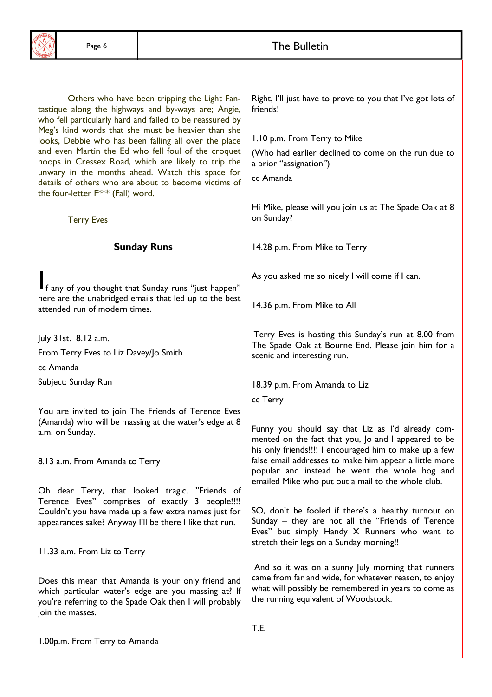Others who have been tripping the Light Fantastique along the highways and by-ways are; Angie, who fell particularly hard and failed to be reassured by Meg's kind words that she must be heavier than she looks, Debbie who has been falling all over the place and even Martin the Ed who fell foul of the croquet hoops in Cressex Road, which are likely to trip the unwary in the months ahead. Watch this space for details of others who are about to become victims of the four-letter F\*\*\* (Fall) word.

**Terry Eves** 

#### **Sunday Runs**

If any of you thought that Sunday runs "just happen" here are the unabridged emails that led up to the best attended run of modern times.

July 31st. 8.12 a.m.

From Terry Eves to Liz Davey/Jo Smith

cc Amanda

Subject: Sunday Run

You are invited to join The Friends of Terence Eves (Amanda) who will be massing at the water's edge at 8 a.m. on Sunday.

8.13 a.m. From Amanda to Terry

Oh dear Terry, that looked tragic. "Friends of Terence Eves" comprises of exactly 3 people!!!! Couldn't you have made up a few extra names just for appearances sake? Anyway I'll be there I like that run.

11.33 a.m. From Liz to Terry

Does this mean that Amanda is your only friend and which particular water's edge are you massing at? If you're referring to the Spade Oak then I will probably ioin the masses.

Right, I'll just have to prove to you that I've got lots of friends!

1.10 p.m. From Terry to Mike

(Who had earlier declined to come on the run due to a prior "assignation")

cc Amanda

Hi Mike, please will you join us at The Spade Oak at 8 on Sunday?

14.28 p.m. From Mike to Terry

As you asked me so nicely I will come if I can.

14.36 p.m. From Mike to All

Terry Eves is hosting this Sunday's run at 8.00 from The Spade Oak at Bourne End. Please join him for a scenic and interesting run.

18.39 p.m. From Amanda to Liz

cc Terry

Funny you should say that Liz as I'd already commented on the fact that you, Jo and I appeared to be his only friends!!!! I encouraged him to make up a few false email addresses to make him appear a little more popular and instead he went the whole hog and emailed Mike who put out a mail to the whole club.

SO, don't be fooled if there's a healthy turnout on Sunday - they are not all the "Friends of Terence Eves" but simply Handy X Runners who want to stretch their legs on a Sunday morning!!

And so it was on a sunny July morning that runners came from far and wide, for whatever reason, to enjoy what will possibly be remembered in years to come as the running equivalent of Woodstock.

T.E.

1.00p.m. From Terry to Amanda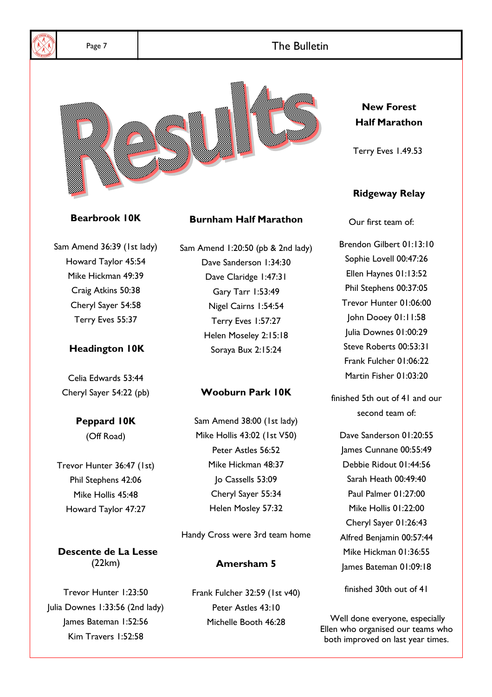

Sam Amend 36:39 (1st lady) Howard Taylor 45:54 Mike Hickman 49:39 Craig Atkins 50:38 Cheryl Sayer 54:58 Terry Eves 55:37

# **Headington IOK**

Celia Edwards 53:44 Cheryl Sayer 54:22 (pb)

# **Peppard IOK**

(Off Road)

Trevor Hunter 36:47 (1st) Phil Stephens 42:06 Mike Hollis 45:48 Howard Taylor 47:27

Descente de La Lesse  $(22km)$ 

Trevor Hunter 1:23:50 Julia Downes 1:33:56 (2nd lady) James Bateman 1:52:56 Kim Travers 1:52:58

Sam Amend 1:20:50 (pb & 2nd lady) Dave Sanderson 1:34:30 Dave Claridge 1:47:31 Gary Tarr 1:53:49 Nigel Cairns 1:54:54 Terry Eves 1:57:27 Helen Moseley 2:15:18 Soraya Bux 2:15:24

# **Wooburn Park 10K**

Sam Amend 38:00 (1st lady) Mike Hollis 43:02 (1st V50) Peter Astles 56:52 Mike Hickman 48:37 Jo Cassells 53:09 Cheryl Sayer 55:34 Helen Mosley 57:32

Handy Cross were 3rd team home

# Amersham 5

Frank Fulcher 32:59 (1st v40) Peter Astles 43:10 Michelle Booth 46:28

Brendon Gilbert 01:13:10 Sophie Lovell 00:47:26 Ellen Haynes 01:13:52 Phil Stephens 00:37:05 Trevor Hunter 01:06:00 John Dooey 01:11:58 Julia Downes 01:00:29 Steve Roberts 00:53:31 Frank Fulcher 01:06:22 Martin Fisher 01:03:20

finished 5th out of 41 and our second team of:

Dave Sanderson 01:20:55 lames Cunnane 00:55:49 Debbie Ridout 01:44:56 Sarah Heath 00:49:40 Paul Palmer 01:27:00 Mike Hollis 01:22:00 Cheryl Sayer 01:26:43 Alfred Benjamin 00:57:44 Mike Hickman 01:36:55 lames Bateman 01:09:18

finished 30th out of 41

Well done everyone, especially Ellen who organised our teams who both improved on last year times.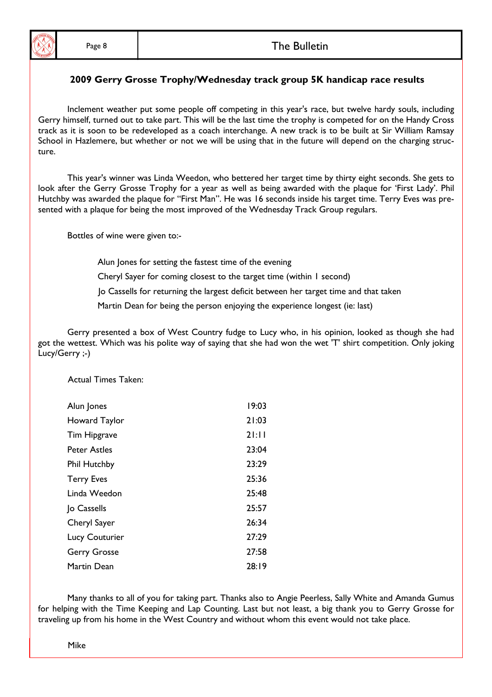## The Bulletin

## 2009 Gerry Grosse Trophy/Wednesday track group 5K handicap race results

Inclement weather put some people off competing in this year's race, but twelve hardy souls, including Gerry himself, turned out to take part. This will be the last time the trophy is competed for on the Handy Cross track as it is soon to be redeveloped as a coach interchange. A new track is to be built at Sir William Ramsay School in Hazlemere, but whether or not we will be using that in the future will depend on the charging structure.

This year's winner was Linda Weedon, who bettered her target time by thirty eight seconds. She gets to look after the Gerry Grosse Trophy for a year as well as being awarded with the plaque for 'First Lady'. Phil Hutchby was awarded the plaque for "First Man". He was 16 seconds inside his target time. Terry Eves was presented with a plaque for being the most improved of the Wednesday Track Group regulars.

Bottles of wine were given to:-

Alun Jones for setting the fastest time of the evening

Cheryl Sayer for coming closest to the target time (within I second)

Jo Cassells for returning the largest deficit between her target time and that taken

Martin Dean for being the person enjoying the experience longest (ie: last)

Gerry presented a box of West Country fudge to Lucy who, in his opinion, looked as though she had got the wettest. Which was his polite way of saying that she had won the wet 'T' shirt competition. Only joking Lucy/Gerry ;-)

**Actual Times Taken:** 

| Alun Jones            | 19:03    |
|-----------------------|----------|
| Howard Taylor         | 21:03    |
| Tim Hipgrave          | $2$ l:ll |
| Peter Astles          | 23:04    |
| <b>Phil Hutchby</b>   | 23:29    |
| <b>Terry Eves</b>     | 25:36    |
| Linda Weedon          | 25:48    |
| Jo Cassells           | 25:57    |
| Cheryl Sayer          | 26:34    |
| <b>Lucy Couturier</b> | 27:29    |
| <b>Gerry Grosse</b>   | 27:58    |
| Martin Dean           | 28:19    |

Many thanks to all of you for taking part. Thanks also to Angie Peerless, Sally White and Amanda Gumus for helping with the Time Keeping and Lap Counting. Last but not least, a big thank you to Gerry Grosse for traveling up from his home in the West Country and without whom this event would not take place.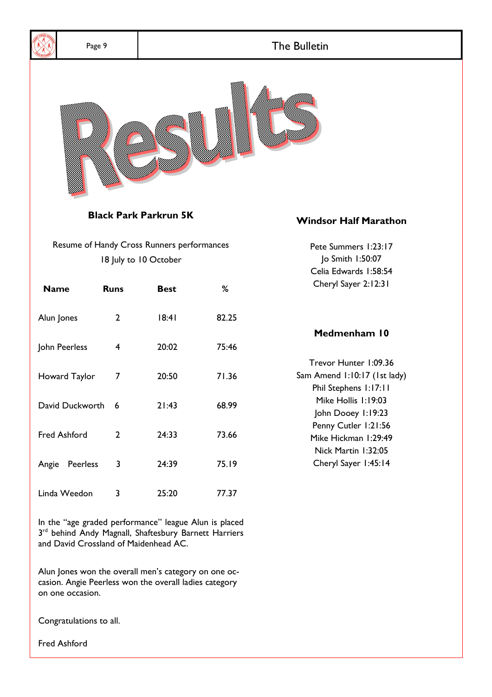

Alun Jones won the overall men's category on one occasion. Angie Peerless won the overall ladies category

Congratulations to all.

on one occasion.

**Fred Ashford**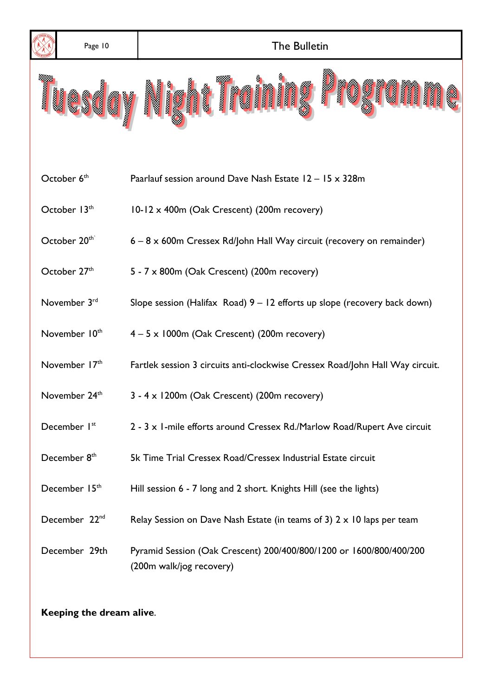

Keeping the dream alive.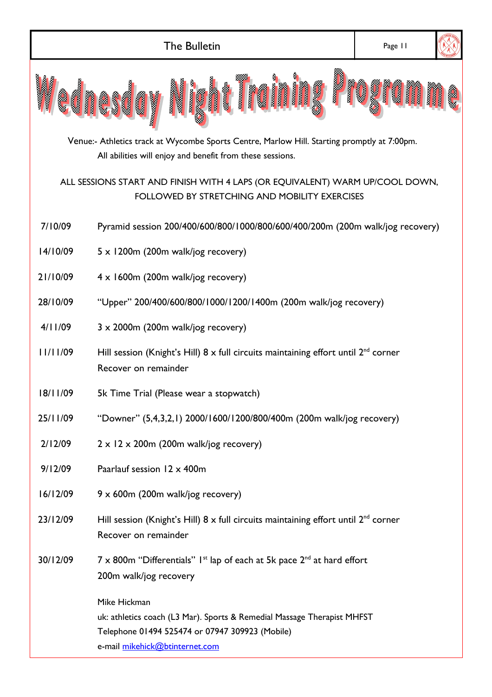|                                                                                                                                                          | <b>The Bulletin</b>                                                                                                                                                          | Page 11 |  |  |  |
|----------------------------------------------------------------------------------------------------------------------------------------------------------|------------------------------------------------------------------------------------------------------------------------------------------------------------------------------|---------|--|--|--|
| III<br>I<br>i.<br><b>CONSULTANT</b><br>esaa<br>经明                                                                                                        |                                                                                                                                                                              |         |  |  |  |
| Venue:- Athletics track at Wycombe Sports Centre, Marlow Hill. Starting promptly at 7:00pm.<br>All abilities will enjoy and benefit from these sessions. |                                                                                                                                                                              |         |  |  |  |
| ALL SESSIONS START AND FINISH WITH 4 LAPS (OR EQUIVALENT) WARM UP/COOL DOWN,<br>FOLLOWED BY STRETCHING AND MOBILITY EXERCISES                            |                                                                                                                                                                              |         |  |  |  |
| 7/10/09                                                                                                                                                  | Pyramid session 200/400/600/800/1000/800/600/400/200m (200m walk/jog recovery)                                                                                               |         |  |  |  |
| 14/10/09                                                                                                                                                 | $5 \times 1200$ m (200m walk/jog recovery)                                                                                                                                   |         |  |  |  |
| 21/10/09                                                                                                                                                 | $4 \times 1600$ m (200m walk/jog recovery)                                                                                                                                   |         |  |  |  |
| 28/10/09                                                                                                                                                 | "Upper" 200/400/600/800/1000/1200/1400m (200m walk/jog recovery)                                                                                                             |         |  |  |  |
| 4/11/09                                                                                                                                                  | $3 \times 2000$ m (200m walk/jog recovery)                                                                                                                                   |         |  |  |  |
| 11/11/09                                                                                                                                                 | Hill session (Knight's Hill) $8 \times$ full circuits maintaining effort until $2^{nd}$ corner<br>Recover on remainder                                                       |         |  |  |  |
| 18/11/09                                                                                                                                                 | 5k Time Trial (Please wear a stopwatch)                                                                                                                                      |         |  |  |  |
| 25/11/09                                                                                                                                                 | "Downer" (5,4,3,2,1) 2000/1600/1200/800/400m (200m walk/jog recovery)                                                                                                        |         |  |  |  |
| 2/12/09                                                                                                                                                  | $2 \times 12 \times 200$ m (200m walk/jog recovery)                                                                                                                          |         |  |  |  |
| 9/12/09                                                                                                                                                  | Paarlauf session 12 x 400m                                                                                                                                                   |         |  |  |  |
| 16/12/09                                                                                                                                                 | $9 \times 600$ m (200m walk/jog recovery)                                                                                                                                    |         |  |  |  |
| 23/12/09                                                                                                                                                 | Hill session (Knight's Hill) $8 \times$ full circuits maintaining effort until $2^{nd}$ corner<br>Recover on remainder                                                       |         |  |  |  |
| 30/12/09                                                                                                                                                 | $7 \times 800$ m "Differentials" I <sup>st</sup> lap of each at 5k pace $2^{nd}$ at hard effort<br>200m walk/jog recovery                                                    |         |  |  |  |
|                                                                                                                                                          | Mike Hickman<br>uk: athletics coach (L3 Mar). Sports & Remedial Massage Therapist MHFST<br>Telephone 01494 525474 or 07947 309923 (Mobile)<br>e-mail mikehick@btinternet.com |         |  |  |  |